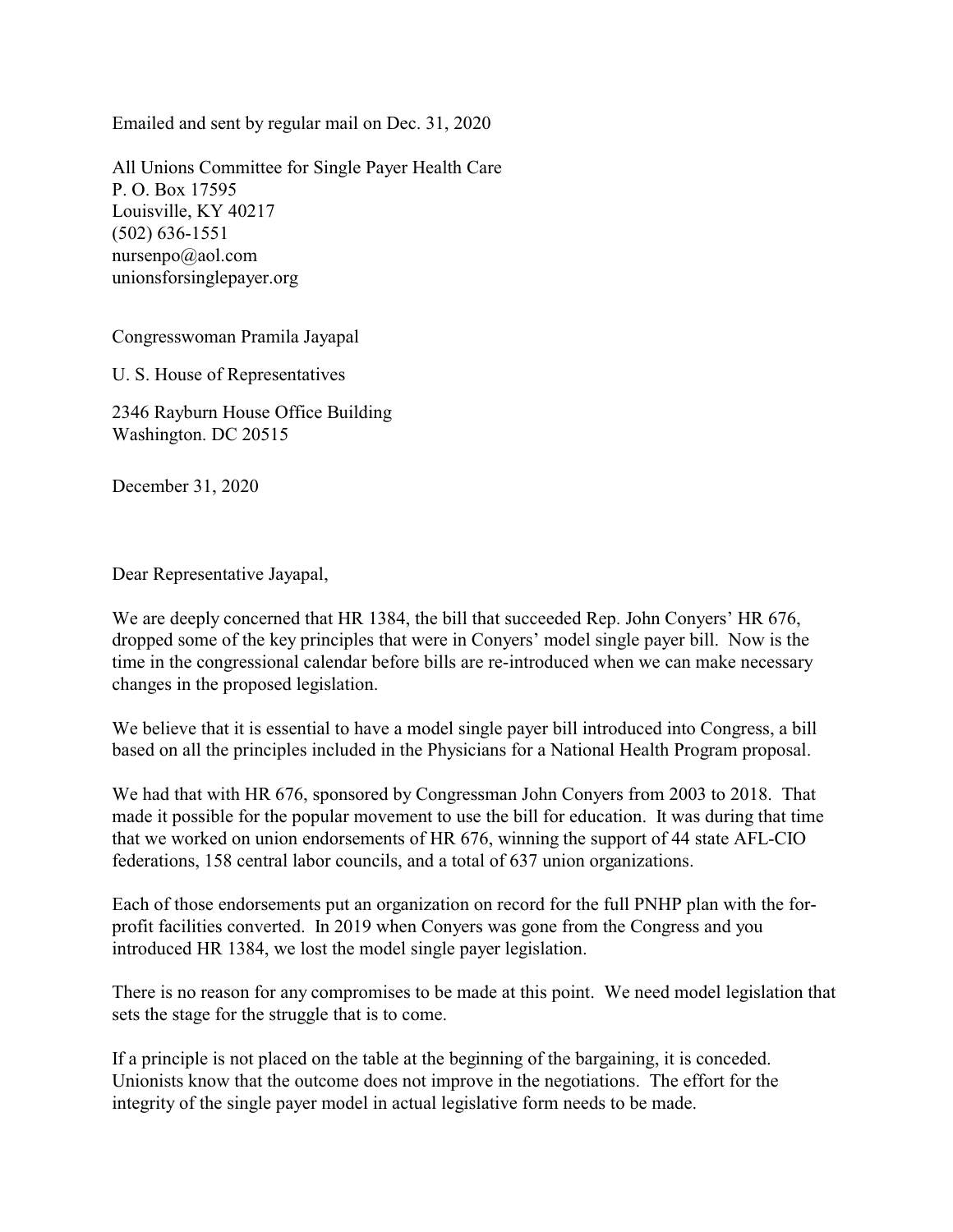Emailed and sent by regular mail on Dec. 31, 2020

All Unions Committee for Single Payer Health Care P. O. Box 17595 Louisville, KY 40217 (502) 636-1551 nursenpo@aol.com unionsforsinglepayer.org

Congresswoman Pramila Jayapal

U. S. House of Representatives

2346 Rayburn House Office Building Washington. DC 20515

December 31, 2020

Dear Representative Jayapal,

We are deeply concerned that HR 1384, the bill that succeeded Rep. John Conyers' HR 676, dropped some of the key principles that were in Conyers' model single payer bill. Now is the time in the congressional calendar before bills are re-introduced when we can make necessary changes in the proposed legislation.

We believe that it is essential to have a model single payer bill introduced into Congress, a bill based on all the principles included in the Physicians for a National Health Program proposal.

We had that with HR 676, sponsored by Congressman John Conyers from 2003 to 2018. That made it possible for the popular movement to use the bill for education. It was during that time that we worked on union endorsements of HR 676, winning the support of 44 state AFL-CIO federations, 158 central labor councils, and a total of 637 union organizations.

Each of those endorsements put an organization on record for the full PNHP plan with the forprofit facilities converted. In 2019 when Conyers was gone from the Congress and you introduced HR 1384, we lost the model single payer legislation.

There is no reason for any compromises to be made at this point. We need model legislation that sets the stage for the struggle that is to come.

If a principle is not placed on the table at the beginning of the bargaining, it is conceded. Unionists know that the outcome does not improve in the negotiations. The effort for the integrity of the single payer model in actual legislative form needs to be made.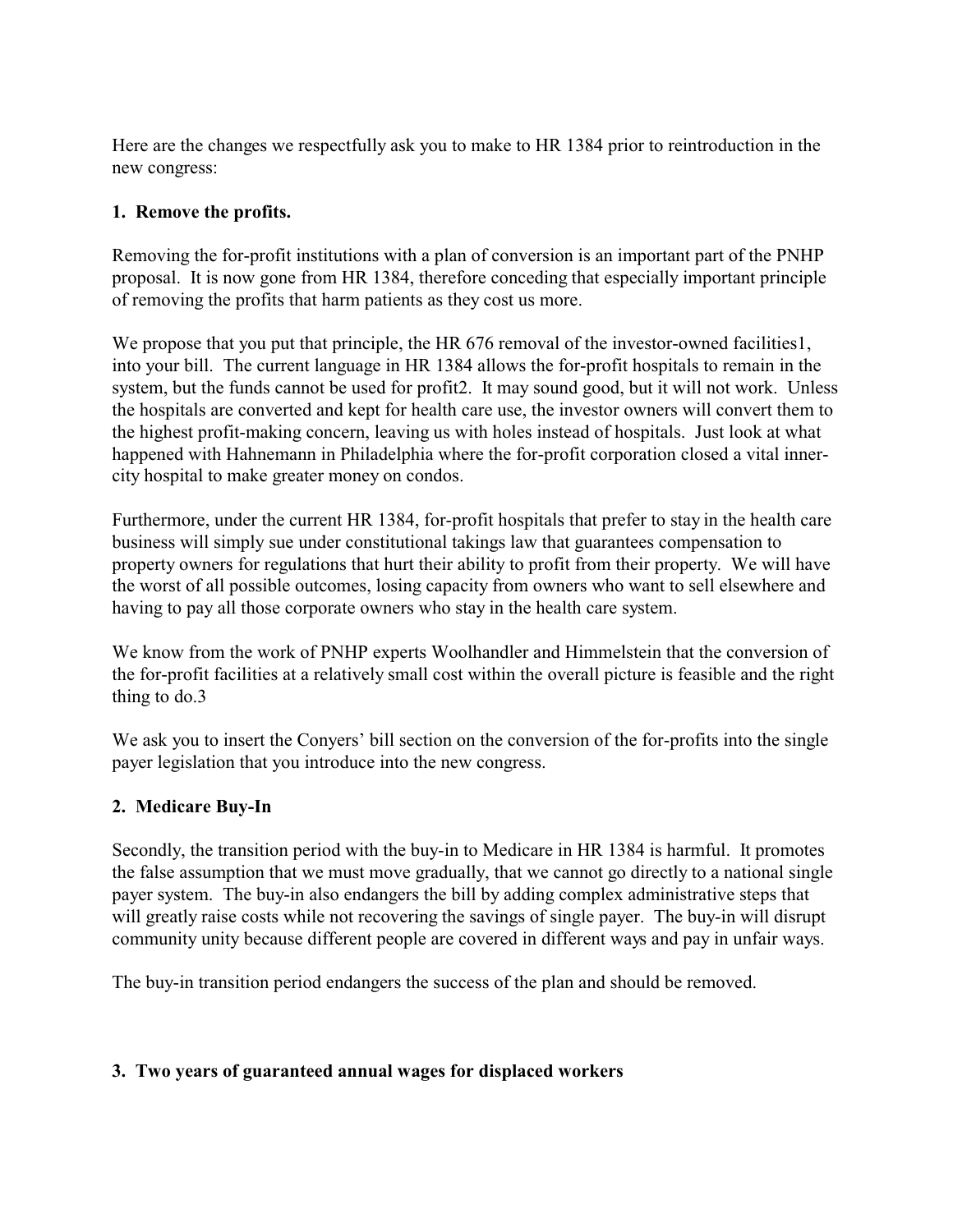Here are the changes we respectfully ask you to make to HR 1384 prior to reintroduction in the new congress:

## **1. Remove the profits.**

Removing the for-profit institutions with a plan of conversion is an important part of the PNHP proposal. It is now gone from HR 1384, therefore conceding that especially important principle of removing the profits that harm patients as they cost us more.

We propose that you put that principle, the HR 676 removal of the investor-owned facilities1, into your bill. The current language in HR 1384 allows the for-profit hospitals to remain in the system, but the funds cannot be used for profit2. It may sound good, but it will not work. Unless the hospitals are converted and kept for health care use, the investor owners will convert them to the highest profit-making concern, leaving us with holes instead of hospitals. Just look at what happened with Hahnemann in Philadelphia where the for-profit corporation closed a vital innercity hospital to make greater money on condos.

Furthermore, under the current HR 1384, for-profit hospitals that prefer to stay in the health care business will simply sue under constitutional takings law that guarantees compensation to property owners for regulations that hurt their ability to profit from their property. We will have the worst of all possible outcomes, losing capacity from owners who want to sell elsewhere and having to pay all those corporate owners who stay in the health care system.

We know from the work of PNHP experts Woolhandler and Himmelstein that the conversion of the for-profit facilities at a relatively small cost within the overall picture is feasible and the right thing to do.3

We ask you to insert the Conyers' bill section on the conversion of the for-profits into the single payer legislation that you introduce into the new congress.

## **2. Medicare Buy-In**

Secondly, the transition period with the buy-in to Medicare in HR 1384 is harmful. It promotes the false assumption that we must move gradually, that we cannot go directly to a national single payer system. The buy-in also endangers the bill by adding complex administrative steps that will greatly raise costs while not recovering the savings of single payer. The buy-in will disrupt community unity because different people are covered in different ways and pay in unfair ways.

The buy-in transition period endangers the success of the plan and should be removed.

## **3. Two years of guaranteed annual wages for displaced workers**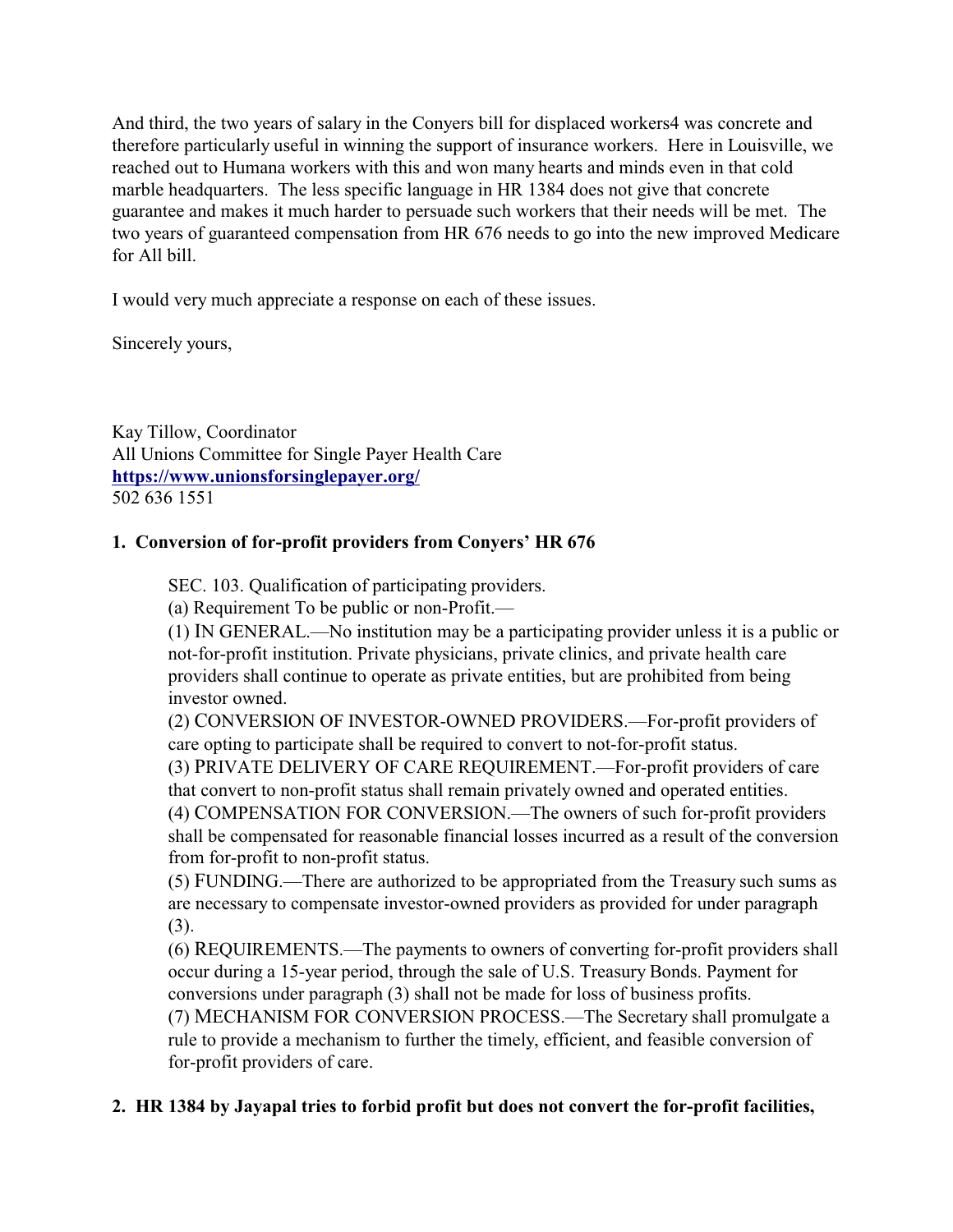And third, the two years of salary in the Conyers bill for displaced workers4 was concrete and therefore particularly useful in winning the support of insurance workers. Here in Louisville, we reached out to Humana workers with this and won many hearts and minds even in that cold marble headquarters. The less specific language in HR 1384 does not give that concrete guarantee and makes it much harder to persuade such workers that their needs will be met. The two years of guaranteed compensation from HR 676 needs to go into the new improved Medicare for All bill.

I would very much appreciate a response on each of these issues.

Sincerely yours,

Kay Tillow, Coordinator All Unions Committee for Single Payer Health Care **<https://www.unionsforsinglepayer.org/>** 502 636 1551

# **1. Conversion of for-profit providers from Conyers' HR 676**

SEC. 103. Qualification of participating providers.

(a) Requirement To be public or non-Profit.—

(1) IN GENERAL.—No institution may be a participating provider unless it is a public or not-for-profit institution. Private physicians, private clinics, and private health care providers shall continue to operate as private entities, but are prohibited from being investor owned.

(2) CONVERSION OF INVESTOR-OWNED PROVIDERS.—For-profit providers of care opting to participate shall be required to convert to not-for-profit status.

(3) PRIVATE DELIVERY OF CARE REQUIREMENT.—For-profit providers of care that convert to non-profit status shall remain privately owned and operated entities.

(4) COMPENSATION FOR CONVERSION.—The owners of such for-profit providers shall be compensated for reasonable financial losses incurred as a result of the conversion from for-profit to non-profit status.

(5) FUNDING.—There are authorized to be appropriated from the Treasury such sums as are necessary to compensate investor-owned providers as provided for under paragraph (3).

(6) REQUIREMENTS.—The payments to owners of converting for-profit providers shall occur during a 15-year period, through the sale of U.S. Treasury Bonds. Payment for conversions under paragraph (3) shall not be made for loss of business profits.

(7) MECHANISM FOR CONVERSION PROCESS.—The Secretary shall promulgate a rule to provide a mechanism to further the timely, efficient, and feasible conversion of for-profit providers of care.

# **2. HR 1384 by Jayapal tries to forbid profit but does not convert the for-profit facilities,**